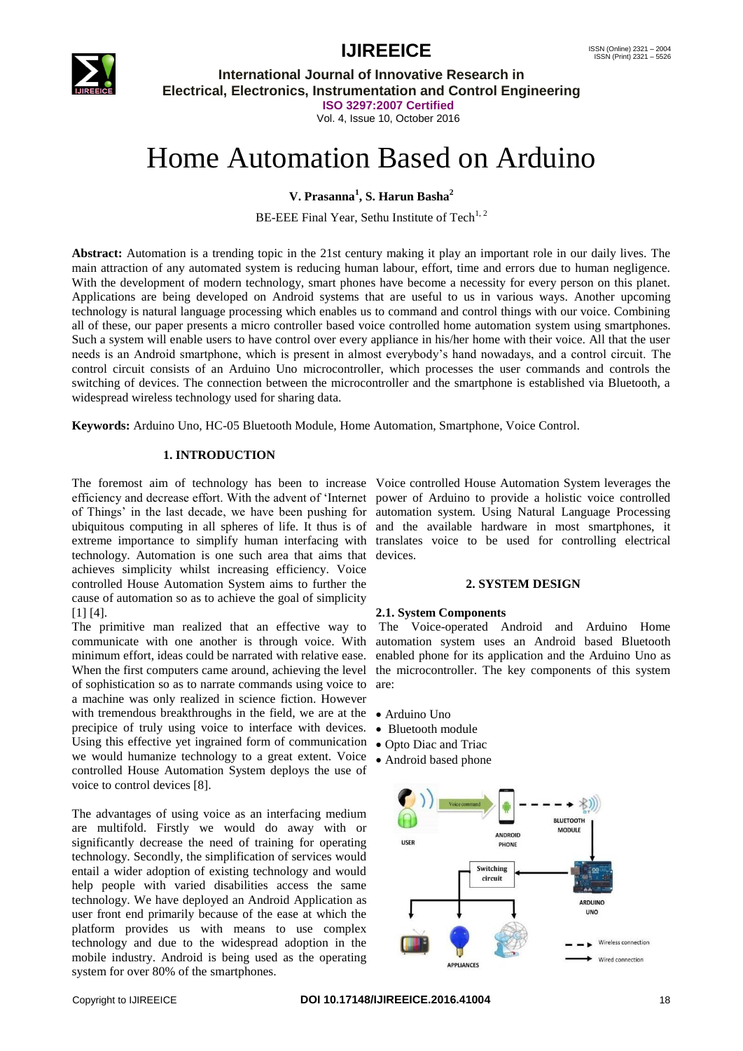



**International Journal of Innovative Research in Electrical, Electronics, Instrumentation and Control Engineering ISO 3297:2007 Certified** Vol. 4, Issue 10, October 2016

# Home Automation Based on Arduino

**V. Prasanna<sup>1</sup> , S. Harun Basha<sup>2</sup>**

BE-EEE Final Year, Sethu Institute of Tech<sup>1, 2</sup>

**Abstract:** Automation is a trending topic in the 21st century making it play an important role in our daily lives. The main attraction of any automated system is reducing human labour, effort, time and errors due to human negligence. With the development of modern technology, smart phones have become a necessity for every person on this planet. Applications are being developed on Android systems that are useful to us in various ways. Another upcoming technology is natural language processing which enables us to command and control things with our voice. Combining all of these, our paper presents a micro controller based voice controlled home automation system using smartphones. Such a system will enable users to have control over every appliance in his/her home with their voice. All that the user needs is an Android smartphone, which is present in almost everybody"s hand nowadays, and a control circuit. The control circuit consists of an Arduino Uno microcontroller, which processes the user commands and controls the switching of devices. The connection between the microcontroller and the smartphone is established via Bluetooth, a widespread wireless technology used for sharing data.

**Keywords:** Arduino Uno, HC-05 Bluetooth Module, Home Automation, Smartphone, Voice Control.

### **1. INTRODUCTION**

The foremost aim of technology has been to increase Voice controlled House Automation System leverages the efficiency and decrease effort. With the advent of "Internet power of Arduino to provide a holistic voice controlled of Things" in the last decade, we have been pushing for automation system. Using Natural Language Processing ubiquitous computing in all spheres of life. It thus is of and the available hardware in most smartphones, it extreme importance to simplify human interfacing with translates voice to be used for controlling electrical technology. Automation is one such area that aims that devices. achieves simplicity whilst increasing efficiency. Voice controlled House Automation System aims to further the cause of automation so as to achieve the goal of simplicity [1] [4].

The primitive man realized that an effective way to communicate with one another is through voice. With minimum effort, ideas could be narrated with relative ease. When the first computers came around, achieving the level of sophistication so as to narrate commands using voice to a machine was only realized in science fiction. However with tremendous breakthroughs in the field, we are at the • Arduino Uno precipice of truly using voice to interface with devices. Using this effective yet ingrained form of communication  $\bullet$  Opto Diac and Triac we would humanize technology to a great extent. Voice controlled House Automation System deploys the use of voice to control devices [8].

The advantages of using voice as an interfacing medium are multifold. Firstly we would do away with or significantly decrease the need of training for operating technology. Secondly, the simplification of services would entail a wider adoption of existing technology and would help people with varied disabilities access the same technology. We have deployed an Android Application as user front end primarily because of the ease at which the platform provides us with means to use complex technology and due to the widespread adoption in the mobile industry. Android is being used as the operating system for over 80% of the smartphones.

#### **2. SYSTEM DESIGN**

#### **2.1. System Components**

The Voice-operated Android and Arduino Home automation system uses an Android based Bluetooth enabled phone for its application and the Arduino Uno as the microcontroller. The key components of this system are:

- 
- Bluetooth module
- 
- Android based phone

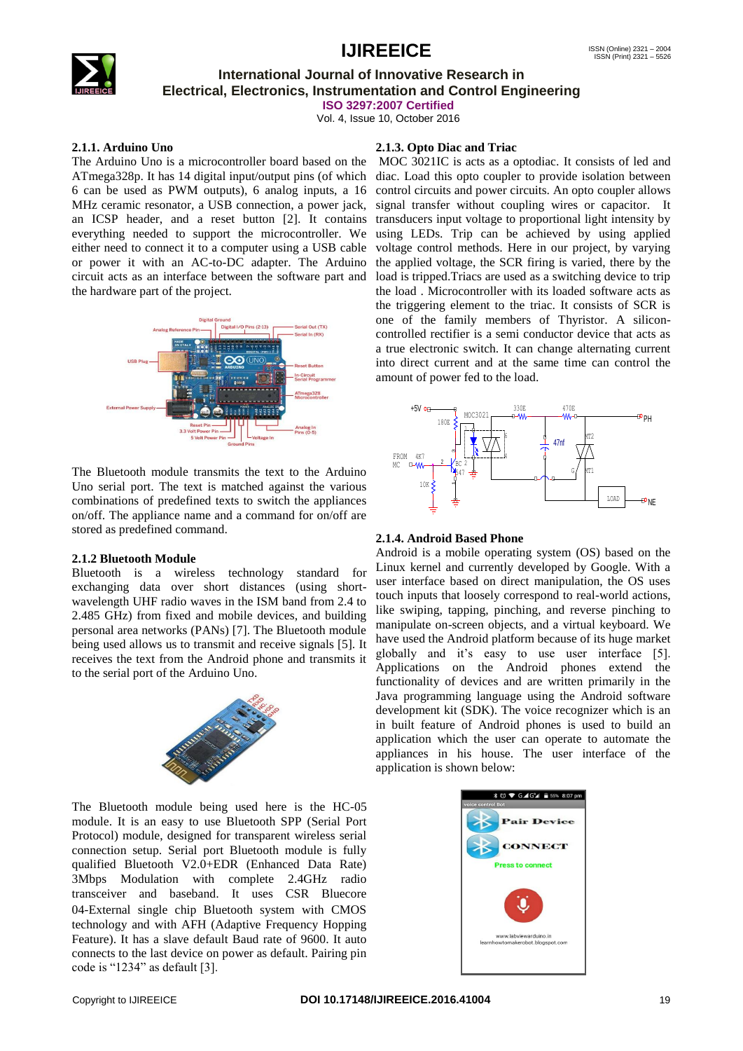

# **International Journal of Innovative Research in Electrical, Electronics, Instrumentation and Control Engineering**

**ISO 3297:2007 Certified**

Vol. 4, Issue 10, October 2016

#### **2.1.1. Arduino Uno**

The Arduino Uno is a microcontroller board based on the ATmega328p. It has 14 digital input/output pins (of which 6 can be used as PWM outputs), 6 analog inputs, a 16 MHz ceramic resonator, a USB connection, a power jack, an ICSP header, and a reset button [2]. It contains everything needed to support the microcontroller. We either need to connect it to a computer using a USB cable or power it with an AC-to-DC adapter. The Arduino circuit acts as an interface between the software part and the hardware part of the project.



The Bluetooth module transmits the text to the Arduino Uno serial port. The text is matched against the various combinations of predefined texts to switch the appliances on/off. The appliance name and a command for on/off are stored as predefined command.

# **2.1.2 Bluetooth Module**

Bluetooth is a wireless technology standard for exchanging data over short distances (using shortwavelength UHF radio waves in the ISM band from 2.4 to 2.485 GHz) from fixed and mobile devices, and building personal area networks (PANs) [7]. The Bluetooth module being used allows us to transmit and receive signals [5]. It receives the text from the Android phone and transmits it to the serial port of the Arduino Uno.



The Bluetooth module being used here is the HC‐05 module. It is an easy to use Bluetooth SPP (Serial Port Protocol) module, designed for transparent wireless serial connection setup. Serial port Bluetooth module is fully qualified Bluetooth V2.0+EDR (Enhanced Data Rate) 3Mbps Modulation with complete 2.4GHz radio transceiver and baseband. It uses CSR Bluecore 04‐External single chip Bluetooth system with CMOS technology and with AFH (Adaptive Frequency Hopping Feature). It has a slave default Baud rate of 9600. It auto connects to the last device on power as default. Pairing pin code is "1234" as default [3].

## **2.1.3. Opto Diac and Triac**

MOC 3021IC is acts as a optodiac. It consists of led and diac. Load this opto coupler to provide isolation between control circuits and power circuits. An opto coupler allows signal transfer without coupling wires or capacitor. It transducers input voltage to proportional light intensity by using LEDs. Trip can be achieved by using applied voltage control methods. Here in our project, by varying the applied voltage, the SCR firing is varied, there by the load is tripped.Triacs are used as a switching device to trip the load . Microcontroller with its loaded software acts as the triggering element to the triac. It consists of SCR is one of the family members of Thyristor. A siliconcontrolled rectifier is a semi conductor device that acts as a true electronic switch. It can change alternating current into direct current and at the same time can control the amount of power fed to the load.



#### **2.1.4. Android Based Phone**

Android is a mobile operating system (OS) based on the Linux kernel and currently developed by Google. With a user interface based on direct manipulation, the OS uses touch inputs that loosely correspond to real-world actions, like swiping, tapping, pinching, and reverse pinching to manipulate on-screen objects, and a virtual keyboard. We have used the Android platform because of its huge market globally and it"s easy to use user interface [5]. Applications on the Android phones extend the functionality of devices and are written primarily in the Java programming language using the Android software development kit (SDK). The voice recognizer which is an in built feature of Android phones is used to build an application which the user can operate to automate the appliances in his house. The user interface of the application is shown below:

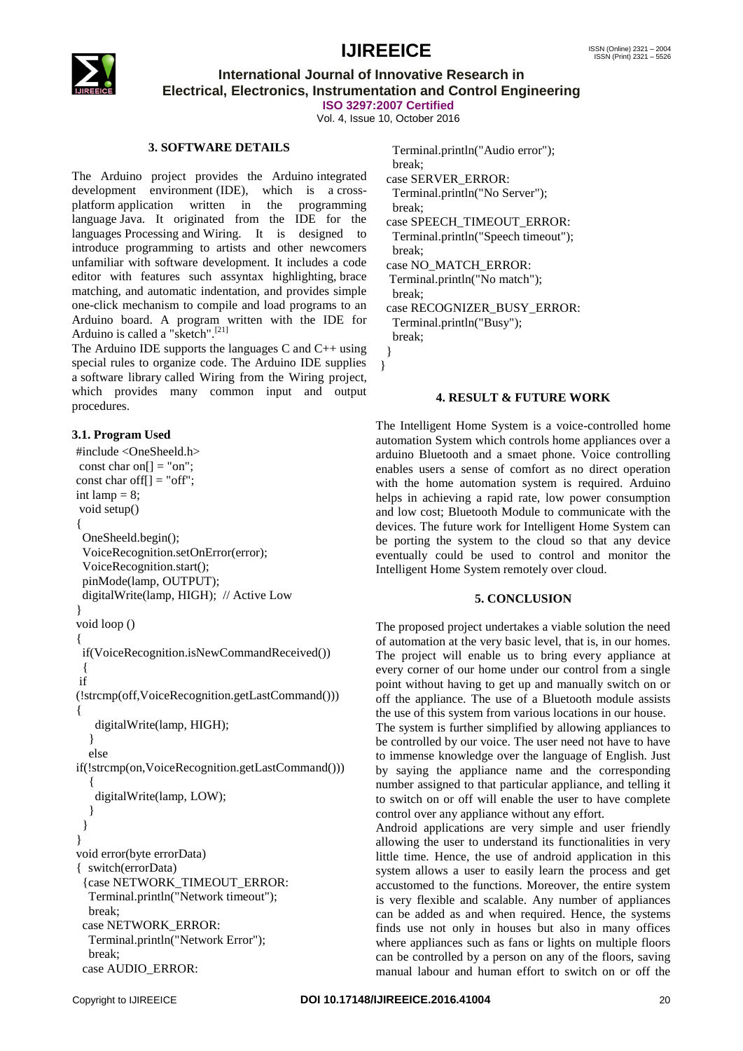

**International Journal of Innovative Research in Electrical, Electronics, Instrumentation and Control Engineering ISO 3297:2007 Certified**

Vol. 4, Issue 10, October 2016

### **3. SOFTWARE DETAILS**

The Arduino project provides the Arduino [integrated](https://en.wikipedia.org/wiki/Integrated_development_environment)  [development environment](https://en.wikipedia.org/wiki/Integrated_development_environment) (IDE), which is a [cross](https://en.wikipedia.org/wiki/Cross-platform)[platform](https://en.wikipedia.org/wiki/Cross-platform) application written in the programming language [Java.](https://en.wikipedia.org/wiki/Java_(programming_language)) It originated from the IDE for the languages [Processing](https://en.wikipedia.org/wiki/Processing_(programming_language)) and [Wiring.](https://en.wikipedia.org/wiki/Wiring_(development_platform)) It is designed to introduce programming to artists and other newcomers unfamiliar with software development. It includes a code editor with features such a[ssyntax highlighting,](https://en.wikipedia.org/wiki/Syntax_highlighting) [brace](https://en.wikipedia.org/wiki/Brace_matching)  [matching,](https://en.wikipedia.org/wiki/Brace_matching) and automatic indentation, and provides simple one-click mechanism to compile and load programs to an Arduino board. A program written with the IDE for Arduino is called a "sketch".<sup>[\[21\]](https://en.wikipedia.org/wiki/Arduino#cite_note-25)</sup>

The Arduino IDE supports the languages [C](https://en.wikipedia.org/wiki/C_(programming_language)) and  $C_{++}$  using special rules to organize code. The Arduino IDE supplies a [software library](https://en.wikipedia.org/wiki/Software_library) called Wiring from the Wiring project, which provides many common input and output procedures.

#### **3.1. Program Used**

#include <OneSheeld.h> const char on $[] = "on";$ const char off $[] = "off";$ int lamp  $= 8$ ; void setup() { OneSheeld.begin(); VoiceRecognition.setOnError(error); VoiceRecognition.start(); pinMode(lamp, OUTPUT); digitalWrite(lamp, HIGH); // Active Low } void loop () { if(VoiceRecognition.isNewCommandReceived()) { if (!strcmp(off,VoiceRecognition.getLastCommand())) { digitalWrite(lamp, HIGH); } else if(!strcmp(on,VoiceRecognition.getLastCommand()))  $\{$  digitalWrite(lamp, LOW); } } } void error(byte errorData) { switch(errorData) {case NETWORK\_TIMEOUT\_ERROR: Terminal.println("Network timeout"); break; case NETWORK\_ERROR: Terminal.println("Network Error"); break; case AUDIO\_ERROR:

 Terminal.println("Audio error"); break; case SERVER\_ERROR: Terminal.println("No Server"); break; case SPEECH\_TIMEOUT\_ERROR: Terminal.println("Speech timeout"); break; case NO\_MATCH\_ERROR: Terminal.println("No match"); break; case RECOGNIZER\_BUSY\_ERROR: Terminal.println("Busy"); break;

 } }

#### **4. RESULT & FUTURE WORK**

The Intelligent Home System is a voice-controlled home automation System which controls home appliances over a arduino Bluetooth and a smaet phone. Voice controlling enables users a sense of comfort as no direct operation with the home automation system is required. Arduino helps in achieving a rapid rate, low power consumption and low cost; Bluetooth Module to communicate with the devices. The future work for Intelligent Home System can be porting the system to the cloud so that any device eventually could be used to control and monitor the Intelligent Home System remotely over cloud.

#### **5. CONCLUSION**

The proposed project undertakes a viable solution the need of automation at the very basic level, that is, in our homes. The project will enable us to bring every appliance at every corner of our home under our control from a single point without having to get up and manually switch on or off the appliance. The use of a Bluetooth module assists the use of this system from various locations in our house.

The system is further simplified by allowing appliances to be controlled by our voice. The user need not have to have to immense knowledge over the language of English. Just by saying the appliance name and the corresponding number assigned to that particular appliance, and telling it to switch on or off will enable the user to have complete control over any appliance without any effort.

Android applications are very simple and user friendly allowing the user to understand its functionalities in very little time. Hence, the use of android application in this system allows a user to easily learn the process and get accustomed to the functions. Moreover, the entire system is very flexible and scalable. Any number of appliances can be added as and when required. Hence, the systems finds use not only in houses but also in many offices where appliances such as fans or lights on multiple floors can be controlled by a person on any of the floors, saving manual labour and human effort to switch on or off the